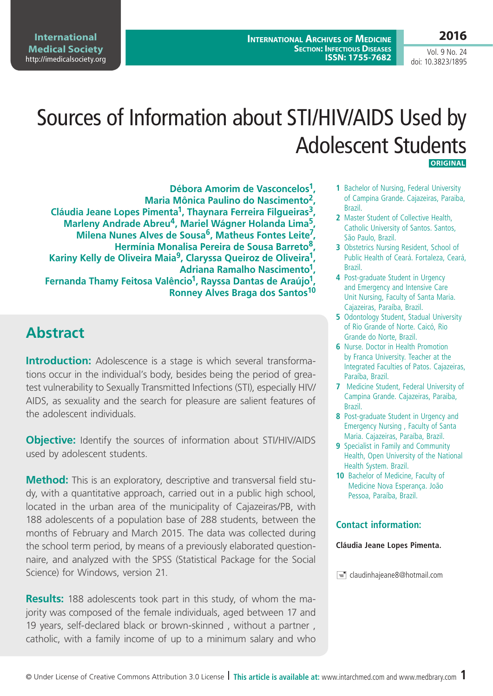**International Archives of Medicine Section: Infectious Diseases ISSN: 1755-7682**

**International Medical Society**  <http://imedicalsociety.org>

Vol. 9 No. 24 doi: 10.3823/1895

# Sources of Information about STI/HIV/AIDS Used by Adolescent Students  **Original**

**Débora Amorim de Vasconcelos1, Maria Mônica Paulino do Nascimento2, Cláudia Jeane Lopes Pimenta1, Thaynara Ferreira Filgueiras3, Marleny Andrade Abreu4, Mariel Wágner Holanda Lima5, Milena Nunes Alves de Sousa6, Matheus Fontes Leite7, Hermínia Monalisa Pereira de Sousa Barreto8, Kariny Kelly de Oliveira Maia9, Claryssa Queiroz de Oliveira1, Adriana Ramalho Nascimento1, Fernanda Thamy Feitosa Valêncio1, Rayssa Dantas de Araújo1, Ronney Alves Braga dos Santos10**

# **Abstract**

**Introduction:** Adolescence is a stage is which several transformations occur in the individual's body, besides being the period of greatest vulnerability to Sexually Transmitted Infections (STI), especially HIV/ AIDS, as sexuality and the search for pleasure are salient features of the adolescent individuals.

**Objective:** Identify the sources of information about STI/HIV/AIDS used by adolescent students.

**Method:** This is an exploratory, descriptive and transversal field study, with a quantitative approach, carried out in a public high school, located in the urban area of the municipality of Cajazeiras/PB, with 188 adolescents of a population base of 288 students, between the months of February and March 2015. The data was collected during the school term period, by means of a previously elaborated questionnaire, and analyzed with the SPSS (Statistical Package for the Social Science) for Windows, version 21.

**Results:** 188 adolescents took part in this study, of whom the majority was composed of the female individuals, aged between 17 and 19 years, self-declared black or brown-skinned , without a partner , catholic, with a family income of up to a minimum salary and who

- **1** Bachelor of Nursing, Federal University of Campina Grande. Cajazeiras, Paraiba, Brazil.
- **2** Master Student of Collective Health, Catholic University of Santos. Santos, São Paulo, Brazil.
- **3** Obstetrics Nursing Resident, School of Public Health of Ceará. Fortaleza, Ceará, Brazil.
- **4** Post-graduate Student in Urgency and Emergency and Intensive Care Unit Nursing, Faculty of Santa Maria. Cajazeiras, Paraíba, Brazil.
- **5** Odontology Student, Stadual University of Rio Grande of Norte. Caicó, Rio Grande do Norte, Brazil.
- **6** Nurse. Doctor in Health Promotion by Franca University. Teacher at the Integrated Faculties of Patos. Cajazeiras, Paraíba, Brazil.
- **7** Medicine Student, Federal University of Campina Grande. Cajazeiras, Paraiba, Brazil.
- **8** Post-graduate Student in Urgency and Emergency Nursing , Faculty of Santa Maria. Cajazeiras, Paraíba, Brazil.
- **9** Specialist in Family and Community Health, Open University of the National Health System. Brazil.
- **10** Bachelor of Medicine, Faculty of Medicine Nova Esperança. João Pessoa, Paraíba, Brazil.

#### **Contact information:**

#### **Cláudia Jeane Lopes Pimenta.**

claudinhaieane8@hotmail.com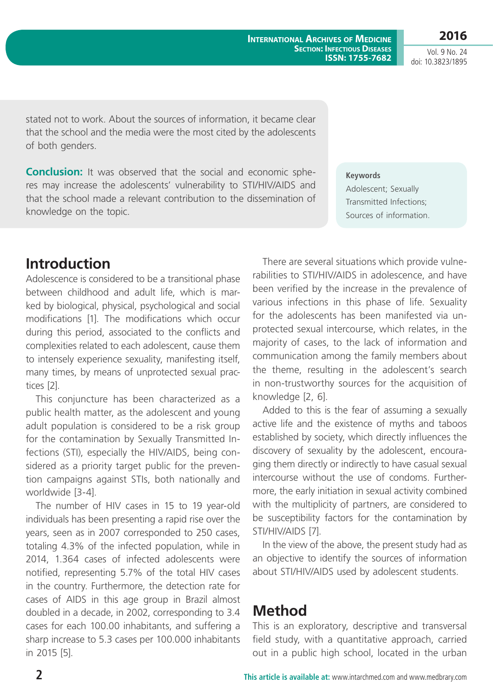Vol. 9 No. 24 doi: 10.3823/1895

**2016**

stated not to work. About the sources of information, it became clear that the school and the media were the most cited by the adolescents of both genders.

**Conclusion:** It was observed that the social and economic spheres may increase the adolescents' vulnerability to STI/HIV/AIDS and that the school made a relevant contribution to the dissemination of knowledge on the topic.

# **Keywords**

Adolescent; Sexually Transmitted Infections; Sources of information.

# **Introduction**

Adolescence is considered to be a transitional phase between childhood and adult life, which is marked by biological, physical, psychological and social modifications [1]. The modifications which occur during this period, associated to the conflicts and complexities related to each adolescent, cause them to intensely experience sexuality, manifesting itself, many times, by means of unprotected sexual practices [2].

This conjuncture has been characterized as a public health matter, as the adolescent and young adult population is considered to be a risk group for the contamination by Sexually Transmitted Infections (STI), especially the HIV/AIDS, being considered as a priority target public for the prevention campaigns against STIs, both nationally and worldwide [3-4].

The number of HIV cases in 15 to 19 year-old individuals has been presenting a rapid rise over the years, seen as in 2007 corresponded to 250 cases, totaling 4.3% of the infected population, while in 2014, 1.364 cases of infected adolescents were notified, representing 5.7% of the total HIV cases in the country. Furthermore, the detection rate for cases of AIDS in this age group in Brazil almost doubled in a decade, in 2002, corresponding to 3.4 cases for each 100.00 inhabitants, and suffering a sharp increase to 5.3 cases per 100.000 inhabitants in 2015 [5].

There are several situations which provide vulnerabilities to STI/HIV/AIDS in adolescence, and have been verified by the increase in the prevalence of various infections in this phase of life. Sexuality for the adolescents has been manifested via unprotected sexual intercourse, which relates, in the majority of cases, to the lack of information and communication among the family members about the theme, resulting in the adolescent's search in non-trustworthy sources for the acquisition of knowledge [2, 6].

Added to this is the fear of assuming a sexually active life and the existence of myths and taboos established by society, which directly influences the discovery of sexuality by the adolescent, encouraging them directly or indirectly to have casual sexual intercourse without the use of condoms. Furthermore, the early initiation in sexual activity combined with the multiplicity of partners, are considered to be susceptibility factors for the contamination by STI/HIV/AIDS [7].

In the view of the above, the present study had as an objective to identify the sources of information about STI/HIV/AIDS used by adolescent students.

## **Method**

This is an exploratory, descriptive and transversal field study, with a quantitative approach, carried out in a public high school, located in the urban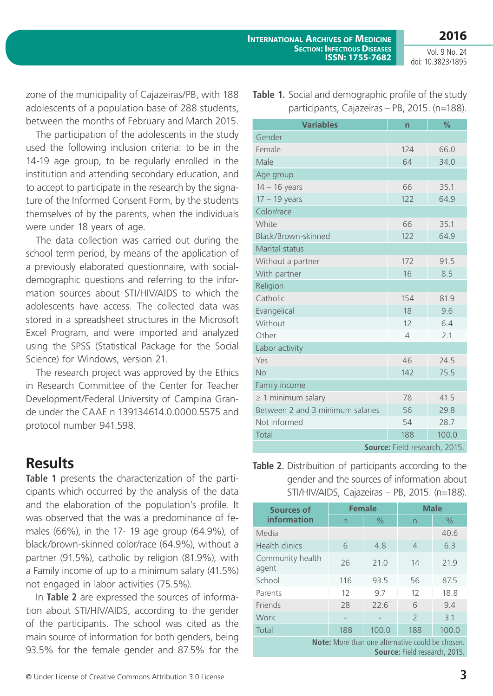Vol. 9 No. 24 doi: 10.3823/1895

zone of the municipality of Cajazeiras/PB, with 188 adolescents of a population base of 288 students, between the months of February and March 2015.

The participation of the adolescents in the study used the following inclusion criteria: to be in the 14-19 age group, to be regularly enrolled in the institution and attending secondary education, and to accept to participate in the research by the signature of the Informed Consent Form, by the students themselves of by the parents, when the individuals were under 18 years of age.

The data collection was carried out during the school term period, by means of the application of a previously elaborated questionnaire, with socialdemographic questions and referring to the information sources about STI/HIV/AIDS to which the adolescents have access. The collected data was stored in a spreadsheet structures in the Microsoft Excel Program, and were imported and analyzed using the SPSS (Statistical Package for the Social Science) for Windows, version 21.

The research project was approved by the Ethics in Research Committee of the Center for Teacher Development/Federal University of Campina Grande under the CAAE n 139134614.0.0000.5575 and protocol number 941.598.

## **Results**

**Table 1** presents the characterization of the participants which occurred by the analysis of the data and the elaboration of the population's profile. It was observed that the was a predominance of females (66%), in the 17- 19 age group (64.9%), of black/brown-skinned color/race (64.9%), without a partner (91.5%), catholic by religion (81.9%), with a Family income of up to a minimum salary (41.5%) not engaged in labor activities (75.5%).

In **Table 2** are expressed the sources of information about STI/HIV/AIDS, according to the gender of the participants. The school was cited as the main source of information for both genders, being 93.5% for the female gender and 87.5% for the

| © Under License of Creative Commons Attribution 3.0 License |  |
|-------------------------------------------------------------|--|

|  | <b>Table 1.</b> Social and demographic profile of the study |
|--|-------------------------------------------------------------|
|  | participants, Cajazeiras – PB, 2015. (n=188).               |

| <b>Variables</b>                 | $\overline{n}$ | $\frac{9}{6}$ |  |  |  |  |  |
|----------------------------------|----------------|---------------|--|--|--|--|--|
| Gender                           |                |               |  |  |  |  |  |
| Female                           | 124            | 66.0          |  |  |  |  |  |
| Male                             | 64             | 34.0          |  |  |  |  |  |
| Age group                        |                |               |  |  |  |  |  |
| $14 - 16$ years                  | 66             | 35.1          |  |  |  |  |  |
| $17 - 19$ years                  | 122            | 64.9          |  |  |  |  |  |
| Color/race                       |                |               |  |  |  |  |  |
| White                            | 66             | 35.1          |  |  |  |  |  |
| Black/Brown-skinned              | 122            | 64.9          |  |  |  |  |  |
| Marital status                   |                |               |  |  |  |  |  |
| Without a partner                | 172            | 91.5          |  |  |  |  |  |
| With partner                     | 16             | 8.5           |  |  |  |  |  |
| Religion                         |                |               |  |  |  |  |  |
| Catholic                         | 154            | 81.9          |  |  |  |  |  |
| Evangelical                      | 18             | 9.6           |  |  |  |  |  |
| Without                          | 12             | 6.4           |  |  |  |  |  |
| Other                            | $\overline{4}$ | 2.1           |  |  |  |  |  |
| Labor activity                   |                |               |  |  |  |  |  |
| Yes                              | 46             | 24.5          |  |  |  |  |  |
| <b>No</b>                        | 142            | 75.5          |  |  |  |  |  |
| Family income                    |                |               |  |  |  |  |  |
| $\geq$ 1 minimum salary          | 78             | 41.5          |  |  |  |  |  |
| Between 2 and 3 minimum salaries | 56             | 29.8          |  |  |  |  |  |
| Not informed                     | 54             | 28.7          |  |  |  |  |  |
| Total                            | 188            | 100.0         |  |  |  |  |  |
| Source: Field research, 2015.    |                |               |  |  |  |  |  |

**Table 2.** Distribuition of participants according to the gender and the sources of information about STI/HIV/AIDS, Cajazeiras – PB, 2015. (n=188).

| Sources of                                                                               | <b>Female</b>            |       | <b>Male</b>    |       |  |  |
|------------------------------------------------------------------------------------------|--------------------------|-------|----------------|-------|--|--|
| information                                                                              | n                        | $\%$  | n              | $\%$  |  |  |
| Media                                                                                    |                          |       |                | 40.6  |  |  |
| Health clinics                                                                           | 6                        | 4.8   | $\overline{4}$ | 6.3   |  |  |
| Community health<br>agent                                                                | 26                       | 71.0  | 14             | 21.9  |  |  |
| School                                                                                   | 116                      | 93.5  | 56             | 87.5  |  |  |
| Parents                                                                                  | 12                       | 9.7   | 12             | 18.8  |  |  |
| <b>Friends</b>                                                                           | 28                       | 22.6  | 6              | 9.4   |  |  |
| Work                                                                                     | $\overline{\phantom{0}}$ |       | $\mathcal{P}$  | 3.1   |  |  |
| Total                                                                                    | 188                      | 100.0 | 188            | 100.0 |  |  |
| Note: More than one alternative could be chosen.<br><b>Source:</b> Field research, 2015. |                          |       |                |       |  |  |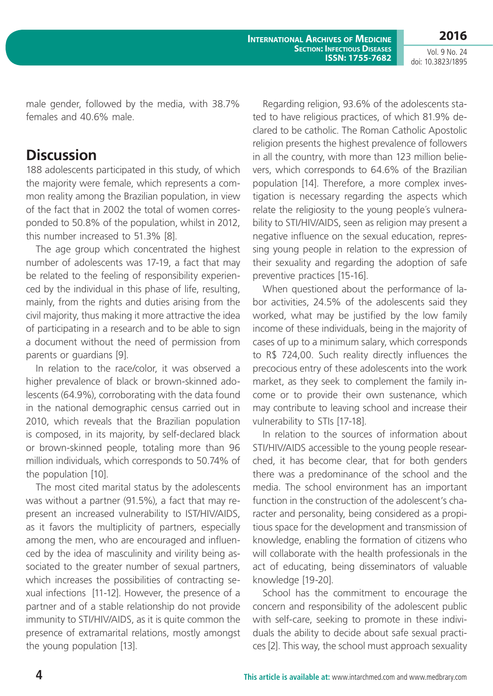**2016** Vol. 9 No. 24

doi: 10.3823/1895

male gender, followed by the media, with 38.7% females and 40.6% male.

# **Discussion**

188 adolescents participated in this study, of which the majority were female, which represents a common reality among the Brazilian population, in view of the fact that in 2002 the total of women corresponded to 50.8% of the population, whilst in 2012, this number increased to 51.3% [8].

The age group which concentrated the highest number of adolescents was 17-19, a fact that may be related to the feeling of responsibility experienced by the individual in this phase of life, resulting, mainly, from the rights and duties arising from the civil majority, thus making it more attractive the idea of participating in a research and to be able to sign a document without the need of permission from parents or guardians [9].

In relation to the race/color, it was observed a higher prevalence of black or brown-skinned adolescents (64.9%), corroborating with the data found in the national demographic census carried out in 2010, which reveals that the Brazilian population is composed, in its majority, by self-declared black or brown-skinned people, totaling more than 96 million individuals, which corresponds to 50.74% of the population [10].

The most cited marital status by the adolescents was without a partner (91.5%), a fact that may represent an increased vulnerability to IST/HIV/AIDS, as it favors the multiplicity of partners, especially among the men, who are encouraged and influenced by the idea of masculinity and virility being associated to the greater number of sexual partners, which increases the possibilities of contracting sexual infections [11-12]. However, the presence of a partner and of a stable relationship do not provide immunity to STI/HIV/AIDS, as it is quite common the presence of extramarital relations, mostly amongst the young population [13].

Regarding religion, 93.6% of the adolescents stated to have religious practices, of which 81.9% declared to be catholic. The Roman Catholic Apostolic religion presents the highest prevalence of followers in all the country, with more than 123 million believers, which corresponds to 64.6% of the Brazilian population [14]. Therefore, a more complex investigation is necessary regarding the aspects which relate the religiosity to the young people´s vulnerability to STI/HIV/AIDS, seen as religion may present a negative influence on the sexual education, repressing young people in relation to the expression of their sexuality and regarding the adoption of safe preventive practices [15-16].

When questioned about the performance of labor activities, 24.5% of the adolescents said they worked, what may be justified by the low family income of these individuals, being in the majority of cases of up to a minimum salary, which corresponds to R\$ 724,00. Such reality directly influences the precocious entry of these adolescents into the work market, as they seek to complement the family income or to provide their own sustenance, which may contribute to leaving school and increase their vulnerability to STIs [17-18].

In relation to the sources of information about STI/HIV/AIDS accessible to the young people researched, it has become clear, that for both genders there was a predominance of the school and the media. The school environment has an important function in the construction of the adolescent's character and personality, being considered as a propitious space for the development and transmission of knowledge, enabling the formation of citizens who will collaborate with the health professionals in the act of educating, being disseminators of valuable knowledge [19-20].

School has the commitment to encourage the concern and responsibility of the adolescent public with self-care, seeking to promote in these individuals the ability to decide about safe sexual practices [2]. This way, the school must approach sexuality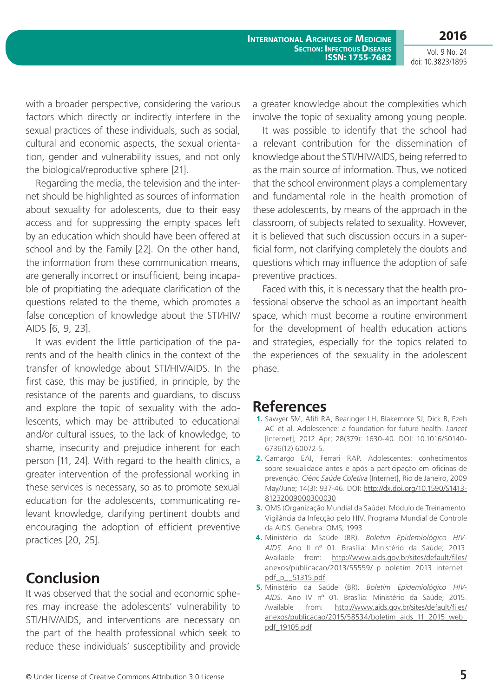**2016**

Vol. 9 No. 24 doi: 10.3823/1895

with a broader perspective, considering the various factors which directly or indirectly interfere in the sexual practices of these individuals, such as social, cultural and economic aspects, the sexual orientation, gender and vulnerability issues, and not only the biological/reproductive sphere [21].

Regarding the media, the television and the internet should be highlighted as sources of information about sexuality for adolescents, due to their easy access and for suppressing the empty spaces left by an education which should have been offered at school and by the Family [22]. On the other hand, the information from these communication means, are generally incorrect or insufficient, being incapable of propitiating the adequate clarification of the questions related to the theme, which promotes a false conception of knowledge about the STI/HIV/ AIDS [6, 9, 23].

It was evident the little participation of the parents and of the health clinics in the context of the transfer of knowledge about STI/HIV/AIDS. In the first case, this may be justified, in principle, by the resistance of the parents and guardians, to discuss and explore the topic of sexuality with the adolescents, which may be attributed to educational and/or cultural issues, to the lack of knowledge, to shame, insecurity and prejudice inherent for each person [11, 24]. With regard to the health clinics, a greater intervention of the professional working in these services is necessary, so as to promote sexual education for the adolescents, communicating relevant knowledge, clarifying pertinent doubts and encouraging the adoption of efficient preventive practices [20, 25].

# **Conclusion**

It was observed that the social and economic spheres may increase the adolescents' vulnerability to STI/HIV/AIDS, and interventions are necessary on the part of the health professional which seek to reduce these individuals' susceptibility and provide a greater knowledge about the complexities which involve the topic of sexuality among young people.

It was possible to identify that the school had a relevant contribution for the dissemination of knowledge about the STI/HIV/AIDS, being referred to as the main source of information. Thus, we noticed that the school environment plays a complementary and fundamental role in the health promotion of these adolescents, by means of the approach in the classroom, of subjects related to sexuality. However, it is believed that such discussion occurs in a superficial form, not clarifying completely the doubts and questions which may influence the adoption of safe preventive practices.

Faced with this, it is necessary that the health professional observe the school as an important health space, which must become a routine environment for the development of health education actions and strategies, especially for the topics related to the experiences of the sexuality in the adolescent phase.

### **References**

- **1.** Sawyer SM, Afifi RA, Bearinger LH, Blakemore SJ, Dick B, Ezeh AC et al. Adolescence: a foundation for future health. *Lancet*  [Internet], 2012 Apr; 28(379): 1630-40. DOI: 10.1016/S0140- 6736(12) 60072-5.
- **2.** Camargo EAI, Ferrari RAP. Adolescentes: conhecimentos sobre sexualidade antes e após a participação em oficinas de prevenção. *Ciênc Saúde Coletiva* [Internet], Rio de Janeiro, 2009 May/June; 14(3): 937-46. DOI: [http://dx.doi.org/10.1590/S1413-](http://dx.doi.org/10.1590/S1413-81232009000300030) [81232009000300030](http://dx.doi.org/10.1590/S1413-81232009000300030)
- **3.** OMS (Organização Mundial da Saúde). Módulo de Treinamento: Vigilância da Infecção pelo HIV. Programa Mundial de Controle da AIDS. Genebra: OMS; 1993.
- **4.** Ministério da Saúde (BR). *Boletim Epidemiológico HIV-AIDS*. Ano II nº 01. Brasília: Ministério da Saúde; 2013. Available from: [http://www.aids.gov.br/sites/default/files/](http://www.aids.gov.br/sites/default/files/anexos/publicacao/2013/55559/_p_boletim_2013_internet_pdf_p__51315.pdf) anexos/publicacao/2013/55559/ p\_boletim\_2013\_internet [pdf\\_p\\_\\_51315.pdf](http://www.aids.gov.br/sites/default/files/anexos/publicacao/2013/55559/_p_boletim_2013_internet_pdf_p__51315.pdf)
- **5.** Ministério da Saúde (BR). *Boletim Epidemiológico HIV-AIDS*. Ano IV nº 01. Brasília: Ministério da Saúde; 2015. Available from: [http://www.aids.gov.br/sites/default/files/](http://www.aids.gov.br/sites/default/files/anexos/publicacao/2015/58534/boletim_aids_11_2015_web_pdf_19105.pdf) [anexos/publicacao/2015/58534/boletim\\_aids\\_11\\_2015\\_web\\_](http://www.aids.gov.br/sites/default/files/anexos/publicacao/2015/58534/boletim_aids_11_2015_web_pdf_19105.pdf) [pdf\\_19105.pdf](http://www.aids.gov.br/sites/default/files/anexos/publicacao/2015/58534/boletim_aids_11_2015_web_pdf_19105.pdf)